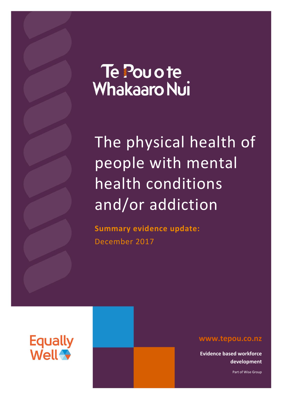# Te Pou o te **Whakaaro Nui**

The physical health of people with mental health conditions and/or addiction

**Summary evidence update:** December 2017



**www.tepou.co.nz**

**Evidence based workforce development**

Part of Wise Group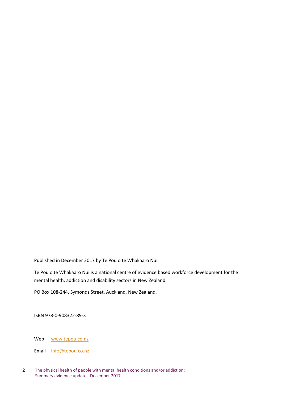Published in December 2017 by Te Pou o te Whakaaro Nui

Te Pou o te Whakaaro Nui is a national centre of evidence based workforce development for the mental health, addiction and disability sectors in New Zealand.

PO Box 108-244, Symonds Street, Auckland, New Zealand.

ISBN 978-0-908322-89-3

Web [www.tepou.co.nz](http://www.tepou.co.nz/)

Email [info@tepou.co.nz](mailto:info@tepou.co.nz)

**2** The physical health of people with mental health conditions and/or addiction: Summary evidence update - December 2017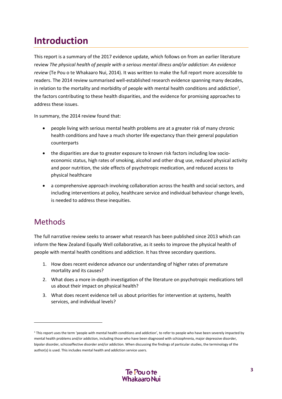# **Introduction**

This report is a summary of the 2017 evidence update, which follows on from an earlier literature review *The physical health of people with a serious mental illness and/or addiction*: *An evidence review* (Te Pou o te Whakaaro Nui, 2014). It was written to make the full report more accessible to readers. The 2014 review summarised well-established research evidence spanning many decades, in relation to the mortality and morbidity of people with mental health conditions and addiction<sup>1</sup>, the factors contributing to these health disparities, and the evidence for promising approaches to address these issues.

In summary, the 2014 review found that:

- people living with serious mental health problems are at a greater risk of many chronic health conditions and have a much shorter life expectancy than their general population counterparts
- the disparities are due to greater exposure to known risk factors including low socioeconomic status, high rates of smoking, alcohol and other drug use, reduced physical activity and poor nutrition, the side effects of psychotropic medication, and reduced access to physical healthcare
- a comprehensive approach involving collaboration across the health and social sectors, and including interventions at policy, healthcare service and individual behaviour change levels, is needed to address these inequities.

# Methods

1

The full narrative review seeks to answer what research has been published since 2013 which can inform the New Zealand Equally Well collaborative, as it seeks to improve the physical health of people with mental health conditions and addiction. It has three secondary questions.

- 1. How does recent evidence advance our understanding of higher rates of premature mortality and its causes?
- 2. What does a more in-depth investigation of the literature on psychotropic medications tell us about their impact on physical health?
- 3. What does recent evidence tell us about priorities for intervention at systems, health services, and individual levels?

<sup>&</sup>lt;sup>1</sup> This report uses the term 'people with mental health conditions and addiction', to refer to people who have been severely impacted by mental health problems and/or addiction, including those who have been diagnosed with schizophrenia, major depressive disorder, bipolar disorder, schizoaffective disorder and/or addiction. When discussing the findings of particular studies, the terminology of the author(s) is used. This includes mental health and addiction service users.

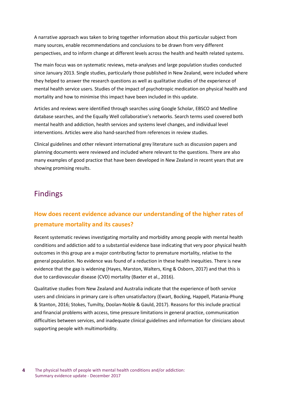A narrative approach was taken to bring together information about this particular subject from many sources, enable recommendations and conclusions to be drawn from very different perspectives, and to inform change at different levels across the health and health related systems.

The main focus was on systematic reviews, meta-analyses and large population studies conducted since January 2013. Single studies, particularly those published in New Zealand, were included where they helped to answer the research questions as well as qualitative studies of the experience of mental health service users. Studies of the impact of psychotropic medication on physical health and mortality and how to minimise this impact have been included in this update.

Articles and reviews were identified through searches using Google Scholar, EBSCO and Medline database searches, and the Equally Well collaborative's networks. Search terms used covered both mental health and addiction, health services and systems level changes, and individual level interventions. Articles were also hand-searched from references in review studies.

Clinical guidelines and other relevant international grey literature such as discussion papers and planning documents were reviewed and included where relevant to the questions. There are also many examples of good practice that have been developed in New Zealand in recent years that are showing promising results.

# Findings

# **How does recent evidence advance our understanding of the higher rates of premature mortality and its causes?**

Recent systematic reviews investigating mortality and morbidity among people with mental health conditions and addiction add to a substantial evidence base indicating that very poor physical health outcomes in this group are a major contributing factor to premature mortality, relative to the general population. No evidence was found of a reduction in these health inequities. There is new evidence that the gap is widening (Hayes, Marston, Walters, King & Osborn, 2017) and that this is due to cardiovascular disease (CVD) mortality (Baxter et al., 2016).

Qualitative studies from New Zealand and Australia indicate that the experience of both service users and clinicians in primary care is often unsatisfactory (Ewart, Bocking, Happell, Platania-Phung & Stanton, 2016; Stokes, Tumilty, Doolan-Noble & Gauld, 2017). Reasons for this include practical and financial problems with access, time pressure limitations in general practice, communication difficulties between services, and inadequate clinical guidelines and information for clinicians about supporting people with multimorbidity.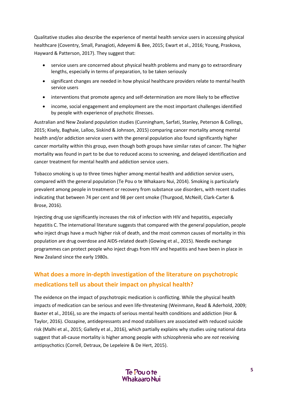Qualitative studies also describe the experience of mental health service users in accessing physical healthcare (Coventry, Small, Panagioti, Adeyemi & Bee, 2015; Ewart et al., 2016; Young, Praskova, Hayward & Patterson, 2017). They suggest that:

- service users are concerned about physical health problems and many go to extraordinary lengths, especially in terms of preparation, to be taken seriously
- significant changes are needed in how physical healthcare providers relate to mental health service users
- interventions that promote agency and self-determination are more likely to be effective
- income, social engagement and employment are the most important challenges identified by people with experience of psychotic illnesses.

Australian and New Zealand population studies (Cunningham, Sarfati, Stanley, Peterson & Collings, 2015; Kisely, Baghaie, Lalloo, Siskind & Johnson, 2015) comparing cancer mortality among mental health and/or addiction service users with the general population also found significantly higher cancer mortality within this group, even though both groups have similar rates of cancer. The higher mortality was found in part to be due to reduced access to screening, and delayed identification and cancer treatment for mental health and addiction service users.

Tobacco smoking is up to three times higher among mental health and addiction service users, compared with the general population (Te Pou o te Whakaaro Nui, 2014). Smoking is particularly prevalent among people in treatment or recovery from substance use disorders, with recent studies indicating that between 74 per cent and 98 per cent smoke (Thurgood, McNeill, Clark-Carter & Brose, 2016).

Injecting drug use significantly increases the risk of infection with HIV and hepatitis, especially hepatitis C. The international literature suggests that compared with the general population, people who inject drugs have a much higher risk of death, and the most common causes of mortality in this population are drug overdose and AIDS-related death (Gowing et al., 2015). Needle exchange programmes can protect people who inject drugs from HIV and hepatitis and have been in place in New Zealand since the early 1980s.

# **What does a more in-depth investigation of the literature on psychotropic medications tell us about their impact on physical health?**

The evidence on the impact of psychotropic medication is conflicting. While the physical health impacts of medication can be serious and even life-threatening (Weinmann, Read & Aderhold, 2009; Baxter et al., 2016), so are the impacts of serious mental health conditions and addiction (Hor & Taylor, 2016). Clozapine, antidepressants and mood stabilisers are associated with reduced suicide risk (Malhi et al., 2015; Galletly et al., 2016), which partially explains why studies using national data suggest that all-cause mortality is higher among people with schizophrenia who are *not* receiving antipsychotics (Correll, Detraux, De Lepeleire & De Hert, 2015).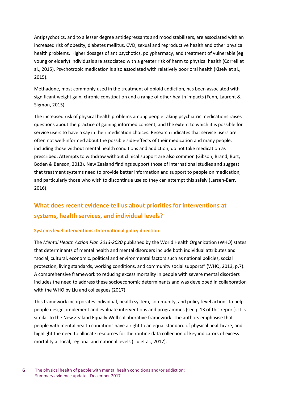Antipsychotics, and to a lesser degree antidepressants and mood stabilizers, are associated with an increased risk of obesity, diabetes mellitus, CVD, sexual and reproductive health and other physical health problems. Higher dosages of antipsychotics, polypharmacy, and treatment of vulnerable (eg young or elderly) individuals are associated with a greater risk of harm to physical health (Correll et al., 2015). Psychotropic medication is also associated with relatively poor oral health (Kisely et al., 2015).

Methadone, most commonly used in the treatment of opioid addiction, has been associated with significant weight gain, chronic constipation and a range of other health impacts (Fenn, Laurent & Sigmon, 2015).

The increased risk of physical health problems among people taking psychiatric medications raises questions about the practice of gaining informed consent, and the extent to which it is possible for service users to have a say in their medication choices. Research indicates that service users are often not well-informed about the possible side-effects of their medication and many people, including those without mental health conditions and addiction, do not take medication as prescribed. Attempts to withdraw without clinical support are also common (Gibson, Brand, Burt, Boden & Benson, 2013). New Zealand findings support those of international studies and suggest that treatment systems need to provide better information and support to people on medication, and particularly those who wish to discontinue use so they can attempt this safely (Larsen-Barr, 2016).

# **What does recent evidence tell us about priorities for interventions at systems, health services, and individual levels?**

#### **Systems level interventions: International policy direction**

The *Mental Health Action Plan 2013-2020* published by the World Health Organization (WHO) states that determinants of mental health and mental disorders include both individual attributes and "social, cultural, economic, political and environmental factors such as national policies, social protection, living standards, working conditions, and community social supports" (WHO, 2013, p.7). A comprehensive framework to reducing excess mortality in people with severe mental disorders includes the need to address these socioeconomic determinants and was developed in collaboration with the WHO by Liu and colleagues (2017).

This framework incorporates individual, health system, community, and policy-level actions to help people design, implement and evaluate interventions and programmes (see p.13 of this report). It is similar to the New Zealand Equally Well collaborative framework. The authors emphasise that people with mental health conditions have a right to an equal standard of physical healthcare, and highlight the need to allocate resources for the routine data collection of key indicators of excess mortality at local, regional and national levels (Liu et al., 2017).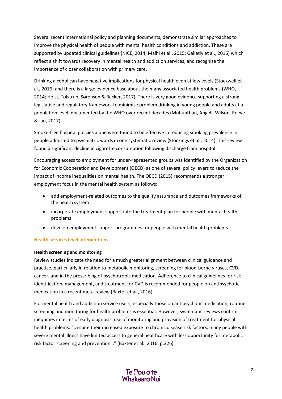Several recent international policy and planning documents, demonstrate similar approaches to improve the physical health of people with mental health conditions and addiction. These are supported by updated clinical guidelines (NICE, 2014; Malhi et al., 2015; Galletly et al., 2016) which reflect a shift towards recovery in mental health and addiction services, and recognise the importance of closer collaboration with primary care.

Drinking alcohol can have negative implications for physical health even at low levels (Stockwell et al., 2016) and there is a large evidence base about the many associated health problems (WHO, 2014; Holst, Tolstrup, Sørensen & Becker, 2017). There is very good evidence supporting a strong legislative and regulatory framework to minimise problem drinking in young people and adults at a population level, documented by the WHO over recent decades (Muhunthan, Angell, Wilson, Reeve & Jan, 2017).

Smoke-free hospital policies alone were found to be effective in reducing smoking prevalence in people admitted to psychiatric wards in one systematic review (Stockings et al., 2014). This review found a significant decline in cigarette consumption following discharge from hospital.

Encouraging access to employment for under-represented groups was identified by the Organization for Economic Cooperation and Development (OECD) as one of several policy levers to reduce the impact of income inequalities on mental health. The OECD (2015) recommends a stronger employment focus in the mental health system as follows:

- add employment-related outcomes to the quality assurance and outcomes frameworks of the health system
- incorporate employment support into the treatment plan for people with mental health problems
- develop employment support programmes for people with mental health problems.

#### **Health services level interventions**

#### **Health screening and monitoring**

Review studies indicate the need for a much greater alignment between clinical guidance and practice, particularly in relation to metabolic monitoring, screening for blood-borne viruses, CVD, cancer, and in the prescribing of psychotropic medication. Adherence to clinical guidelines for risk identification, management, and treatment for CVD is recommended for people on antipsychotic medication in a recent meta-review (Baxter et al., 2016).

For mental health and addiction service users, especially those on antipsychotic medication, routine screening and monitoring for health problems is essential. However, systematic reviews confirm inequities in terms of early diagnosis, use of monitoring and provision of treatment for physical health problems. "Despite their increased exposure to chronic disease risk factors, many people with severe mental illness have limited access to general healthcare with less opportunity for metabolic risk factor screening and prevention…" (Baxter et al., 2016, p.326).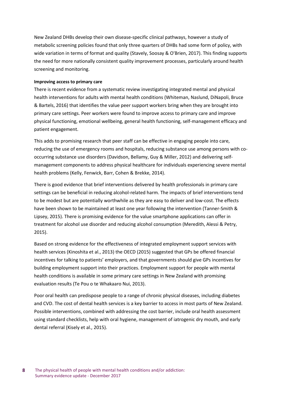New Zealand DHBs develop their own disease-specific clinical pathways, however a study of metabolic screening policies found that only three quarters of DHBs had some form of policy, with wide variation in terms of format and quality (Stavely, Soosay & O'Brien, 2017). This finding supports the need for more nationally consistent quality improvement processes, particularly around health screening and monitoring.

#### **Improving access to primary care**

There is recent evidence from a systematic review investigating integrated mental and physical health interventions for adults with mental health conditions (Whiteman, Naslund, DiNapoli, Bruce & Bartels, 2016) that identifies the value peer support workers bring when they are brought into primary care settings. Peer workers were found to improve access to primary care and improve physical functioning, emotional wellbeing, general health functioning, self-management efficacy and patient engagement.

This adds to promising research that peer staff can be effective in engaging people into care, reducing the use of emergency rooms and hospitals, reducing substance use among persons with cooccurring substance use disorders (Davidson, Bellamy, Guy & Miller, 2012) and delivering selfmanagement components to address physical healthcare for individuals experiencing severe mental health problems (Kelly, Fenwick, Barr, Cohen & Brekke, 2014).

There is good evidence that brief interventions delivered by health professionals in primary care settings can be beneficial in reducing alcohol-related harm. The impacts of brief interventions tend to be modest but are potentially worthwhile as they are easy to deliver and low-cost. The effects have been shown to be maintained at least one year following the intervention (Tanner-Smith & Lipsey, 2015). There is promising evidence for the value smartphone applications can offer in treatment for alcohol use disorder and reducing alcohol consumption (Meredith, Alessi & Petry, 2015).

Based on strong evidence for the effectiveness of integrated employment support services with health services (Kinoshita et al., 2013) the OECD (2015) suggested that GPs be offered financial incentives for talking to patients' employers, and that governments should give GPs incentives for building employment support into their practices. Employment support for people with mental health conditions is available in some primary care settings in New Zealand with promising evaluation results (Te Pou o te Whakaaro Nui, 2013).

Poor oral health can predispose people to a range of chronic physical diseases, including diabetes and CVD. The cost of dental health services is a key barrier to access in most parts of New Zealand. Possible interventions, combined with addressing the cost barrier, include oral health assessment using standard checklists, help with oral hygiene, management of iatrogenic dry mouth, and early dental referral (Kisely et al., 2015).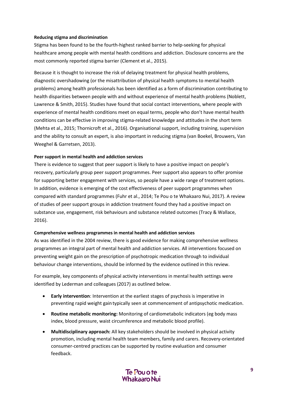#### **Reducing stigma and discrimination**

Stigma has been found to be the fourth-highest ranked barrier to help-seeking for physical healthcare among people with mental health conditions and addiction. Disclosure concerns are the most commonly reported stigma barrier (Clement et al., 2015).

Because it is thought to increase the risk of delaying treatment for physical health problems, diagnostic overshadowing (or the misattribution of physical health symptoms to mental health problems) among health professionals has been identified as a form of discrimination contributing to health disparities between people with and without experience of mental health problems (Noblett, Lawrence & Smith, 2015). Studies have found that social contact interventions, where people with experience of mental health conditions meet on equal terms, people who don't have mental health conditions can be effective in improving stigma-related knowledge and attitudes in the short term (Mehta et al., 2015; Thornicroft et al., 2016). Organisational support, including training, supervision and the ability to consult an expert, is also important in reducing stigma (van Boekel, Brouwers, Van Weeghel & Garretsen, 2013).

#### **Peer support in mental health and addiction services**

There is evidence to suggest that peer support is likely to have a positive impact on people's recovery, particularly group peer support programmes. Peer support also appears to offer promise for supporting better engagement with services, so people have a wide range of treatment options. In addition, evidence is emerging of the cost effectiveness of peer support programmes when compared with standard programmes [\(Fuhr et al., 2014;](#page-18-0) Te Pou o te Whakaaro Nui, 2017). A review of studies of peer support groups in addiction treatment found they had a positive impact on substance use, engagement, risk behaviours and substance related outcomes (Tracy & Wallace, 2016).

#### **Comprehensive wellness programmes in mental health and addiction services**

As was identified in the 2004 review, there is good evidence for making comprehensive wellness programmes an integral part of mental health and addiction services. All interventions focused on preventing weight gain on the prescription of psychotropic medication through to individual behaviour change interventions, should be informed by the evidence outlined in this review.

For example, key components of physical activity interventions in mental health settings were identified by Lederman and colleagues (2017) as outlined below.

- **Early intervention**: Intervention at the earliest stages of psychosis is imperative in preventing rapid weight gain typically seen at commencement of antipsychotic medication.
- **Routine metabolic monitoring:** Monitoring of cardiometabolic indicators (eg body mass index, blood pressure, waist circumference and metabolic blood profile).
- **Multidisciplinary approach:** All key stakeholders should be involved in physical activity promotion, including mental health team members, family and carers. Recovery-orientated consumer-centred practices can be supported by routine evaluation and consumer feedback.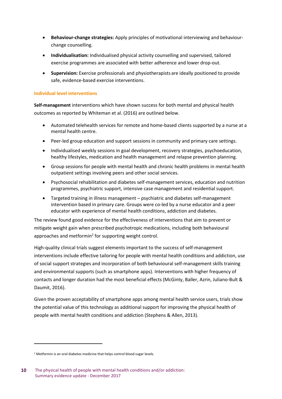- **Behaviour-change strategies:** Apply principles of motivational interviewing and behaviourchange counselling.
- **Individualisation:** Individualised physical activity counselling and supervised, tailored exercise programmes are associated with better adherence and lower drop-out.
- **Supervision:** Exercise professionals and physiotherapists are ideally positioned to provide safe, evidence-based exercise interventions.

#### **Individual level interventions**

**Self-management** interventions which have shown success for both mental and physical health outcomes as reported by Whiteman et al. (2016) are outlined below.

- Automated telehealth services for remote and home-based clients supported by a nurse at a mental health centre.
- Peer-led group education and support sessions in community and primary care settings.
- Individualised weekly sessions in goal development, recovery strategies, psychoeducation, healthy lifestyles, medication and health management and relapse prevention planning.
- Group sessions for people with mental health and chronic health problems in mental health outpatient settings involving peers and other social services.
- Psychosocial rehabilitation and diabetes self-management services, education and nutrition programmes, psychiatric support, intensive case management and residential support.
- Targeted training in illness management psychiatric and diabetes self-management intervention based in primary care. Groups were co-led by a nurse educator and a peer educator with experience of mental health conditions, addiction and diabetes.

The review found good evidence for the effectiveness of interventions that aim to prevent or mitigate weight gain when prescribed psychotropic medications, including both behavioural approaches and metformin<sup>2</sup> for supporting weight control.

High-quality clinical trials suggest elements important to the success of self-management interventions include effective tailoring for people with mental health conditions and addiction, use of social support strategies and incorporation of both behavioural self-management skills training and environmental supports (such as smartphone apps). Interventions with higher frequency of contacts and longer duration had the most beneficial effects (McGinty, Baller, Azrin, Juliano-Bult & Daumit, 2016).

Given the proven acceptability of smartphone apps among mental health service users, trials show the potential value of this technology as additional support for improving the physical health of people with mental health conditions and addiction (Stephens & Allen, 2013).

1

<sup>&</sup>lt;sup>2</sup> Metformin is an oral diabetes medicine that helps control blood sugar levels.

**<sup>10</sup>** The physical health of people with mental health conditions and/or addiction: Summary evidence update - December 2017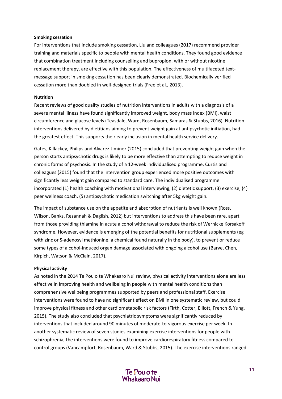#### **Smoking cessation**

For interventions that include smoking cessation, Liu and colleagues (2017) recommend provider training and materials specific to people with mental health conditions. They found good evidence that combination treatment including counselling and bupropion, with or without nicotine replacement therapy, are effective with this population. The effectiveness of multifaceted textmessage support in smoking cessation has been clearly demonstrated. Biochemically verified cessation more than doubled in well-designed trials (Free et al., 2013).

#### **Nutrition**

Recent reviews of good quality studies of nutrition interventions in adults with a diagnosis of a severe mental illness have found significantly improved weight, body mass index (BMI), waist circumference and glucose levels (Teasdale, Ward, Rosenbaum, Samaras & Stubbs, 2016). Nutrition interventions delivered by dietitians aiming to prevent weight gain at antipsychotic initiation, had the greatest effect. This supports their early inclusion in mental health service delivery.

Gates, Killackey, Philips and Alvarez-Jiminez (2015) concluded that preventing weight gain when the person starts antipsychotic drugs is likely to be more effective than attempting to reduce weight in chronic forms of psychosis. In the study of a 12-week individualised programme, Curtis and colleagues (2015) found that the intervention group experienced more positive outcomes with significantly less weight gain compared to standard care. The individualised programme incorporated (1) health coaching with motivational interviewing, (2) dietetic support, (3) exercise, (4) peer wellness coach, (5) antipsychotic medication switching after 5kg weight gain.

The impact of substance use on the appetite and absorption of nutrients is well known (Ross, Wilson, Banks, Rezannah & Daglish, 2012) but interventions to address this have been rare, apart from those providing thiamine in acute alcohol withdrawal to reduce the risk of Wernicke Korsakoff syndrome. However, evidence is emerging of the potential benefits for nutritional supplements (eg with zinc or S-adenosyl methionine, a chemical found naturally in the body), to prevent or reduce some types of alcohol-induced organ damage associated with ongoing alcohol use (Barve, Chen, Kirpich, Watson & McClain, 2017).

#### **Physical activity**

As noted in the 2014 Te Pou o te Whakaaro Nui review, physical activity interventions alone are less effective in improving health and wellbeing in people with mental health conditions than comprehensive wellbeing programmes supported by peers and professional staff. Exercise interventions were found to have no significant effect on BMI in one systematic review, but could improve physical fitness and other cardiometabolic risk factors (Firth, Cotter, Elliott, French & Yung, 2015). The study also concluded that psychiatric symptoms were significantly reduced by interventions that included around 90 minutes of moderate-to-vigorous exercise per week. In another systematic review of seven studies examining exercise interventions for people with schizophrenia, the interventions were found to improve cardiorespiratory fitness compared to control groups (Vancampfort, Rosenbaum, Ward & Stubbs, 2015). The exercise interventions ranged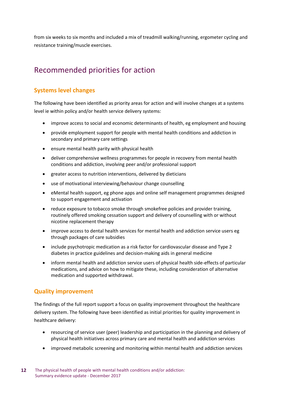from six weeks to six months and included a mix of treadmill walking/running, ergometer cycling and resistance training/muscle exercises.

# Recommended priorities for action

### **Systems level changes**

The following have been identified as priority areas for action and will involve changes at a systems level ie within policy and/or health service delivery systems:

- improve access to social and economic determinants of health, eg employment and housing
- provide employment support for people with mental health conditions and addiction in secondary and primary care settings
- ensure mental health parity with physical health
- deliver comprehensive wellness programmes for people in recovery from mental health conditions and addiction, involving peer and/or professional support
- greater access to nutrition interventions, delivered by dieticians
- use of motivational interviewing/behaviour change counselling
- eMental health support, eg phone apps and online self management programmes designed to support engagement and activation
- reduce exposure to tobacco smoke through smokefree policies and provider training, routinely offered smoking cessation support and delivery of counselling with or without nicotine replacement therapy
- improve access to dental health services for mental health and addiction service users eg through packages of care subsidies
- include psychotropic medication as a risk factor for cardiovascular disease and Type 2 diabetes in practice guidelines and decision-making aids in general medicine
- inform mental health and addiction service users of physical health side-effects of particular medications, and advice on how to mitigate these, including consideration of alternative medication and supported withdrawal.

### **Quality improvement**

The findings of the full report support a focus on quality improvement throughout the healthcare delivery system. The following have been identified as initial priorities for quality improvement in healthcare delivery:

- resourcing of service user (peer) leadership and participation in the planning and delivery of physical health initiatives across primary care and mental health and addiction services
- improved metabolic screening and monitoring within mental health and addiction services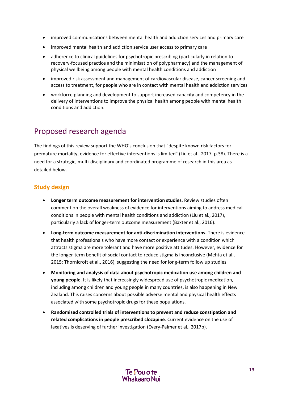- improved communications between mental health and addiction services and primary care
- improved mental health and addiction service user access to primary care
- adherence to clinical guidelines for psychotropic prescribing (particularly in relation to recovery-focused practice and the minimisation of polypharmacy) and the management of physical wellbeing among people with mental health conditions and addiction
- improved risk assessment and management of cardiovascular disease, cancer screening and access to treatment, for people who are in contact with mental health and addiction services
- workforce planning and development to support increased capacity and competency in the delivery of interventions to improve the physical health among people with mental health conditions and addiction.

# Proposed research agenda

The findings of this review support the WHO's conclusion that "despite known risk factors for premature mortality, evidence for effective interventions is limited" (Liu et al., 2017, p.38). There is a need for a strategic, multi-disciplinary and coordinated programme of research in this area as detailed below.

# **Study design**

- **Longer term outcome measurement for intervention studies**. Review studies often comment on the overall weakness of evidence for interventions aiming to address medical conditions in people with mental health conditions and addiction (Liu et al., 2017), particularly a lack of longer-term outcome measurement (Baxter et al., 2016).
- **Long-term outcome measurement for anti-discrimination interventions.** There is evidence that health professionals who have more contact or experience with a condition which attracts stigma are more tolerant and have more positive attitudes. However, evidence for the longer-term benefit of social contact to reduce stigma is inconclusive (Mehta et al., 2015; Thornicroft et al., 2016), suggesting the need for long-term follow up studies.
- **Monitoring and analysis of data about psychotropic medication use among children and young people**. It is likely that increasingly widespread use of psychotropic medication, including among children and young people in many countries, is also happening in New Zealand. This raises concerns about possible adverse mental and physical health effects associated with some psychotropic drugs for these populations.
- **Randomised controlled trials of interventions to prevent and reduce constipation and related complications in people prescribed clozapine**. Current evidence on the use of laxatives is deserving of further investigation (Every-Palmer et al., 2017b).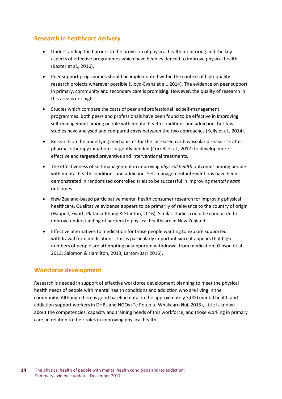### **Research in healthcare delivery**

- Understanding the barriers to the provision of physical health monitoring and the key aspects of effective programmes which have been evidenced to improve physical health (Baxter et al., 2016).
- Peer support programmes should be implemented within the context of high-quality research projects wherever possible (Lloyd-Evans et al., 2014). The evidence on peer support in primary, community and secondary care is promising. However, the quality of research in this area is not high.
- Studies which compare the costs of peer and professional led self-management programmes. Both peers and professionals have been found to be effective in improving self-management among people with mental health conditions and addiction, but few studies have analysed and compared **costs** between the two approaches (Kelly et al., 2014).
- Research on the underlying mechanisms for the increased cardiovascular disease risk after pharmacotherapy initiation is urgently needed (Correll et al., 2017) to develop more effective and targeted preventive and interventional treatments.
- The effectiveness of self-management in improving *physical health* outcomes among people with mental health conditions and addiction. Self-management interventions have been demonstrated in randomised controlled trials to be successful in improving *mental health* outcomes.
- New Zealand-based participative mental health consumer research for improving physical healthcare. Qualitative evidence appears to be primarily of relevance to the country of origin (Happell, Ewart, Platania‐Phung & Stanton, 2016). Similar studies could be conducted to improve understanding of barriers to physical healthcare in New Zealand.
- Effective alternatives to medication for those people wanting to explore supported withdrawal from medications. This is particularly important since it appears that high numbers of people are attempting unsupported withdrawal from medication (Gibson et al., 2013; Salomon & Hamilton, 2013; Larson-Barr 2016).

### **Workforce development**

Research is needed in support of effective workforce development planning to meet the physical health needs of people with mental health conditions and addiction who are living in the community. Although there is good baseline data on the approximately 3,000 mental health and addiction support workers in DHBs and NGOs (Te Pou o te Whakaaro Nui, 2015), little is known about the competencies, capacity and training needs of this workforce, and those working in primary care, in relation to their roles in improving physical health.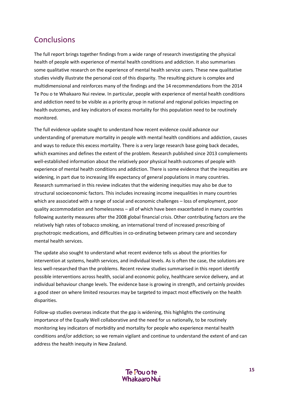# **Conclusions**

The full report brings together findings from a wide range of research investigating the physical health of people with experience of mental health conditions and addiction. It also summarises some qualitative research on the experience of mental health service users. These new qualitative studies vividly illustrate the personal cost of this disparity. The resulting picture is complex and multidimensional and reinforces many of the findings and the 14 recommendations from the 2014 Te Pou o te Whakaaro Nui review. In particular, people with experience of mental health conditions and addiction need to be visible as a priority group in national and regional policies impacting on health outcomes, and key indicators of excess mortality for this population need to be routinely monitored.

The full evidence update sought to understand how recent evidence could advance our understanding of premature mortality in people with mental health conditions and addiction, causes and ways to reduce this excess mortality. There is a very large research base going back decades, which examines and defines the extent of the problem. Research published since 2013 complements well-established information about the relatively poor physical health outcomes of people with experience of mental health conditions and addiction. There is some evidence that the inequities are widening, in part due to increasing life expectancy of general populations in many countries. Research summarised in this review indicates that the widening inequities may also be due to structural socioeconomic factors. This includes increasing income inequalities in many countries which are associated with a range of social and economic challenges – loss of employment, poor quality accommodation and homelessness – all of which have been exacerbated in many countries following austerity measures after the 2008 global financial crisis. Other contributing factors are the relatively high rates of tobacco smoking, an international trend of increased prescribing of psychotropic medications, and difficulties in co-ordinating between primary care and secondary mental health services.

The update also sought to understand what recent evidence tells us about the priorities for intervention at systems, health services, and individual levels. As is often the case, the solutions are less well-researched than the problems. Recent review studies summarised in this report identify possible interventions across health, social and economic policy, healthcare service delivery, and at individual behaviour change levels. The evidence base is growing in strength, and certainly provides a good steer on where limited resources may be targeted to impact most effectively on the health disparities.

Follow-up studies overseas indicate that the gap is widening, this highlights the continuing importance of the Equally Well collaborative and the need for us nationally, to be routinely monitoring key indicators of morbidity and mortality for people who experience mental health conditions and/or addiction; so we remain vigilant and continue to understand the extent of and can address the health inequity in New Zealand.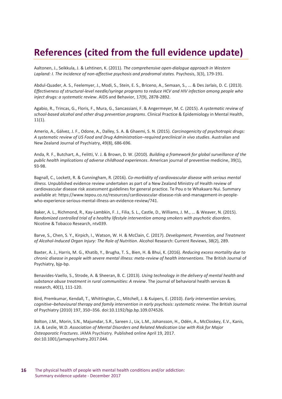# **References (cited from the full evidence update)**

Aaltonen, J., Seikkula, J. & Lehtinen, K. (2011). *The comprehensive open-dialogue approach in Western Lapland: I. The incidence of non-affective psychosis and prodromal states.* Psychosis, 3(3), 179-191.

Abdul-Quader, A. S., Feelemyer, J., Modi, S., Stein, E. S., Briceno, A., Semaan, S., ... & Des Jarlais, D. C. (2013). *Effectiveness of structural-level needle/syringe programs to reduce HCV and HIV infection among people who inject drugs: a systematic review*. AIDS and Behavior, 17(9), 2878-2892.

Agabio, R., Trincas, G., Floris, F., Mura, G., Sancassiani, F. & Angermeyer, M. C. (2015). *A systematic review of school-based alcohol and other drug prevention programs*. Clinical Practice & Epidemiology in Mental Health,  $11(1)$ .

Amerio, A., Gálvez, J. F., Odone, A., Dalley, S. A. & Ghaemi, S. N. (2015). *Carcinogenicity of psychotropic drugs: A systematic review of US Food and Drug Administration–required preclinical in vivo studies*. Australian and New Zealand Journal of Psychiatry, 49(8), 686-696.

Anda, R. F., Butchart, A., Felitti, V. J. & Brown, D. W. (2010). *Building a framework for global surveillance of the public health implications of adverse childhood experiences*. American journal of preventive medicine, 39(1), 93-98.

Bagnall, C., Lockett, R. & Cunningham, R. (2016). *Co-morbidity of cardiovascular disease with serious mental illness.* Unpublished evidence review undertaken as part of a New Zealand Ministry of Health review of cardiovascular disease risk assessment guidelines for general practice. Te Pou o te Whakaaro Nui. Summary available at: https://www.tepou.co.nz/resources/cardiovascular-disease-risk-and-management-in-peoplewho-experience-serious-mental-illness-an-evidence-review/741.

Baker, A. L., Richmond, R., Kay-Lambkin, F. J., Filia, S. L., Castle, D., Williams, J. M., ... & Weaver, N. (2015). *Randomized controlled trial of a healthy lifestyle intervention among smokers with psychotic disorders.* Nicotine & Tobacco Research, ntv039.

Barve, S., Chen, S. Y., Kirpich, I., Watson, W. H. & McClain, C. (2017). *Development, Prevention, and Treatment of Alcohol-Induced Organ Injury: The Role of Nutrition*. Alcohol Research: Current Reviews, 38(2), 289.

Baxter, A. J., Harris, M. G., Khatib, Y., Brugha, T. S., Bien, H. & Bhui, K. (2016). *Reducing excess mortality due to chronic disease in people with severe mental illness: meta-review of health interventions*. The British Journal of Psychiatry, bjp-bp.

Benavides-Vaello, S., Strode, A. & Sheeran, B. C. (2013). *Using technology in the delivery of mental health and substance abuse treatment in rural communities: A review*. The journal of behavioral health services & research, 40(1), 111-120.

Bird, Premkumar, Kendall, T., Whittington, C., Mitchell, J. & Kuipers, E. (2010). *Early intervention services, cognitive–behavioural therapy and family intervention in early psychosis: systematic review*. The British Journal of Psychiatry (2010) 197, 350–356. doi:10.1192/bjp.bp.109.074526.

Bolton, J.M., Morin, S.N., Majumdar, S.R., Sareen J., Lix, L.M., Johansson, H., Odén, A., McCloskey, E.V., Kanis, J.A. & Leslie, W.D. *Association of Mental Disorders and Related Medication Use with Risk for Major Osteoporotic Fractures*. JAMA Psychiatry*.* Published online April 19, 2017. doi:10.1001/jamapsychiatry.2017.044.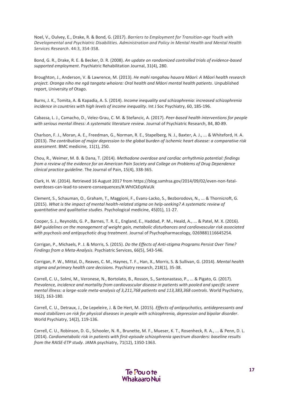Noel, V., Oulvey, E., Drake, R. & Bond, G. (2017). *Barriers to Employment for Transition-age Youth with Developmental and Psychiatric Disabilities. Administration and Policy in Mental Health and Mental Health Services Research*. 44:3, 354-358.

Bond, G. R., Drake, R. E. & Becker, D. R. (2008). *An update on randomized controlled trials of evidence-based supported employment*. Psychiatric Rehabilitation Journal, 31(4), 280.

Broughton, J., Anderson, V. & Lawrence, M. (2013). *He mahi rangahau hauora Māori: A Māori health research project. Oranga niho me ngā tangata whaiora: Oral health and Māori mental health patients*. Unpublished report, University of Otago.

Burns, J. K., Tomita, A. & Kapadia, A. S. (2014). *Income inequality and schizophrenia: increased schizophrenia incidence in countries with high levels of income inequality*. Int J Soc Psychiatry, 60, 185-196.

Cabassa, L. J., Camacho, D., Velez-Grau, C. M. & Stefancic, A. (2017). *Peer-based health interventions for people with serious mental illness: A systematic literature review.* [Journal of Psychiatric Research,](http://www.sciencedirect.com/science/journal/00223956) 84, 80-89.

Charlson, F. J., Moran, A. E., Freedman, G., Norman, R. E., Stapelberg, N. J., Baxter, A. J., ... & Whiteford, H. A. (2013). *The contribution of major depression to the global burden of ischemic heart disease: a comparative risk assessment*. BMC medicine, 11(1), 250.

Chou, R., Weimer, M. B. & Dana, T. (2014). *Methadone overdose and cardiac arrhythmia potential: findings from a review of the evidence for an American Pain Society and College on Problems of Drug Dependence clinical practice guideline*. The Journal of Pain, 15(4), 338-365.

Clark, H. W. (2014). Retrieved 16 August 2017 from https://blog.samhsa.gov/2014/09/02/even-non-fataloverdoses-can-lead-to-severe-consequences/#.WhICkEqWaUk

Clement, S., Schauman, O., Graham, T., Maggioni, F., Evans-Lacko, S., Bezborodovs, N., ... & Thornicroft, G. (2015). *What is the impact of mental health-related stigma on help-seeking? A systematic review of quantitative and qualitative studies*. Psychological medicine, 45(01), 11-27.

Cooper, S. J., Reynolds, G. P., Barnes, T. R. E., England, E., Haddad, P. M., Heald, A., ... & Patel, M. X. (2016). *BAP guidelines on the management of weight gain, metabolic disturbances and cardiovascular risk associated with psychosis and antipsychotic drug treatment*. Journal of Psychopharmacology, 0269881116645254.

Corrigan, P., Michaels, P. J. & Morris, S. (2015). *Do the Effects of Anti-stigma Programs Persist Over Time? Findings from a Meta-Analysis*. Psychiatric Services, 66(5), 543-546.

Corrigan, P. W., Mittal, D., Reaves, C. M., Haynes, T. F., Han, X., Morris, S. & Sullivan, G. (2014). *Mental health stigma and primary health care decisions*. Psychiatry research, 218(1), 35-38.

Correll, C. U., Solmi, M., Veronese, N., Bortolato, B., Rosson, S., Santonastaso, P., ... & Pigato, G. (2017). *Prevalence, incidence and mortality from cardiovascular disease in patients with pooled and specific severe mental illness: a large*‐*scale meta*‐*analysis of 3,211,768 patients and 113,383,368 controls*. World Psychiatry, 16(2), 163-180.

Correll, C. U., Detraux, J., De Lepeleire, J. & De Hert, M. (2015). *Effects of antipsychotics, antidepressants and mood stabilizers on risk for physical diseases in people with schizophrenia, depression and bipolar disorder*. World Psychiatry, 14(2), 119-136.

Correll, C. U., Robinson, D. G., Schooler, N. R., Brunette, M. F., Mueser, K. T., Rosenheck, R. A., ... & Penn, D. L. (2014). *Cardiometabolic risk in patients with first-episode schizophrenia spectrum disorders: baseline results from the RAISE-ETP study*. JAMA psychiatry, 71(12), 1350-1363.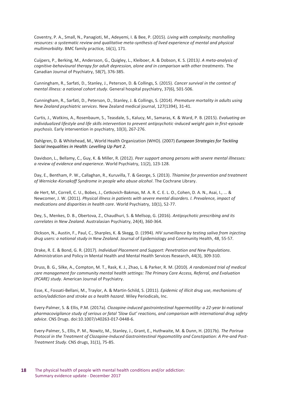Coventry, P. A., Small, N., Panagioti, M., Adeyemi, I. & Bee, P. (2015). *Living with complexity; marshalling resources: a systematic review and qualitative meta-synthesis of lived experience of mental and physical multimorbidity*. BMC family practice, 16(1), 171.

Cuijpers, P., Berking, M., Andersson, G., Quigley, L., Kleiboer, A. & Dobson, K. S. (2013*). A meta-analysis of cognitive-behavioural therapy for adult depression, alone and in comparison with other treatments*. The Canadian Journal of Psychiatry, 58(7), 376-385.

Cunningham, R., Sarfati, D., Stanley, J., Peterson, D. & Collings, S. (2015). *Cancer survival in the context of mental illness: a national cohort study*. General hospital psychiatry, 37(6), 501-506.

Cunningham, R., Sarfati, D., Peterson, D., Stanley, J. & Collings, S. (2014). *Premature mortality in adults using New Zealand psychiatric services*. New Zealand medical journal, 127(1394), 31-41.

Curtis, J., Watkins, A., Rosenbaum, S., Teasdale, S., Kalucy, M., Samaras, K. & Ward, P. B. (2015). *Evaluating an individualized lifestyle and life skills intervention to prevent antipsychotic* -*induced weight gain in first* -episode *psychosis*. Early intervention in psychiatry, 10(3), 267-276.

Dahlgren, D. & Whitehead, M., World Health Organization (WHO). (2007) *European Strategies for Tackling Social Inequalities in Health: Levelling Up Part 2.*

Davidson, L., Bellamy, C., Guy, K. & Miller, R. (2012). *Peer support among persons with severe mental illnesses: a review of evidence and experience*. World Psychiatry, 11(2), 123-128.

Day, E., Bentham, P. W., Callaghan, R., Kuruvilla, T. & George, S. (2013). *Thiamine for prevention and treatment of Wernicke*‐*Korsakoff Syndrome in people who abuse alcohol*. The Cochrane Library.

de Hert, M., Correll, C. U., Bobes, J., Cetkovich‐Bakmas, M. A. R. C. E. L. O., Cohen, D. A. N., Asai, I., ... & Newcomer, J. W. (2011). *Physical illness in patients with severe mental disorders. I. Prevalence, impact of medications and disparities in health care*. World Psychiatry, 10(1), 52-77.

Dey, S., Menkes, D. B., Obertova, Z., Chaudhuri, S. & Mellsop, G. (2016). *Antipsychotic prescribing and its correlates in New Zealand*. Australasian Psychiatry, 24(4), 360-364.

Dickson, N., Austin, F., Paul, C., Sharples, K. & Skegg, D. (1994). *HIV surveillance by testing saliva from injecting drug users: a national study in New Zealand.* Journal of Epidemiology and Community Health, 48, 55-57.

Drake, R. E. & Bond, G. R. (2017). *Individual Placement and Support: Penetration and New Populations*. Administration and Policy in Mental Health and Mental Health Services Research, 44(3), 309-310.

Druss, B. G., Silke, A., Compton, M. T., Rask, K. J., Zhao, L. & Parker, R. M. (2010). *A randomized trial of medical care management for community mental health settings: The Primary Care Access, Referral, and Evaluation (PCARE) study*. American Journal of Psychiatry.

Esse, K., Fossati-Bellani, M., Traylor, A. & Martin-Schild, S. (2011). *Epidemic of illicit drug use, mechanisms of action/addiction and stroke as a health hazard*. Wiley Periodicals, Inc.

Every-Palmer, S. & Ellis, P.M. (2017a). *Clozapine-induced gastrointestinal hypermotility: a 22-year bi-national pharmacovigilance study of serious or fatal 'Slow Gut' reactions, and comparison with international drug safety advice*. CNS Drugs. doi:10.1007/s40263-017-0448-6.

Every-Palmer, S., Ellis, P. M., Nowitz, M., Stanley, J., Grant, E., Huthwaite, M. & Dunn, H. (2017b). *The Porirua Protocol in the Treatment of Clozapine-Induced Gastrointestinal Hypomotility and Constipation: A Pre-and Post-Treatment Study*. CNS drugs, 31(1), 75-85.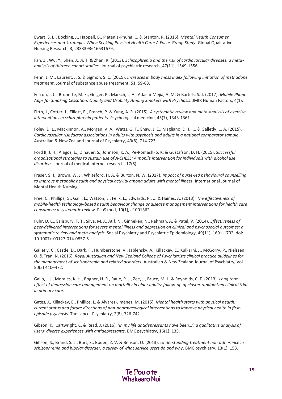Ewart, S. B., Bocking, J., Happell, B., Platania-Phung, C. & Stanton, R. (2016). *Mental Health Consumer Experiences and Strategies When Seeking Physical Health Care: A Focus Group Study*. Global Qualitative Nursing Research, 3, 2333393616631679.

Fan, Z., Wu, Y., Shen, J., Ji, T. & Zhan, R. (2013). *Schizophrenia and the risk of cardiovascular diseases: a metaanalysis of thirteen cohort studies*. Journal of psychiatric research, 47(11), 1549-1556.

Fenn, J. M., Laurent, J. S. & Sigmon, S. C. (2015). *Increases in body mass index following initiation of methadone treatment*. Journal of substance abuse treatment, 51, 59-63.

Ferron, J. C., Brunette, M. F., Geiger, P., Marsch, L. A., Adachi-Mejia, A. M. & Bartels, S. J. (2017). *Mobile Phone Apps for Smoking Cessation: Quality and Usability Among Smokers with Psychosis*. JMIR Human Factors, 4(1).

Firth, J., Cotter, J., Elliott, R., French, P. & Yung, A. R. (2015). *A systematic review and meta-analysis of exercise interventions in schizophrenia patients*. Psychological medicine, 45(7), 1343-1361.

Foley, D. L., Mackinnon, A., Morgan, V. A., Watts, G. F., Shaw, J. E., Magliano, D. J., ... & Galletly, C. A. (2015). *Cardiovascular risk factor associations in adults with psychosis and adults in a national comparator sample*. Australian & New Zealand Journal of Psychiatry, 49(8), 714-723.

Ford II, J. H., Alagoz, E., Dinauer, S., Johnson, K. A., Pe-Romashko, K. & Gustafson, D. H. (2015). *Successful organizational strategies to sustain use of A-CHESS: A mobile intervention for individuals with alcohol use disorders*. Journal of medical Internet research, 17(8).

Fraser, S. J., Brown, W. J., Whiteford, H. A. & Burton, N. W. (2017). *Impact of nurse*‐*led behavioural counselling to improve metabolic health and physical activity among adults with mental illness*. International Journal of Mental Health Nursing.

Free, C., Phillips, G., Galli, L., Watson, L., Felix, L., Edwards, P., ... & Haines, A. (2013). *The effectiveness of mobile-health technology-based health behaviour change or disease management interventions for health care consumers: a systematic review*. PLoS med, 10(1), e1001362.

<span id="page-18-0"></span>Fuhr, D. C., Salisbury, T. T., Silva, M. J., Atif, N., Ginneken, N., Rahman, A. & Patel, V. (2014). *Effectiveness of peer-delivered interventions for severe mental illness and depression on clinical and psychosocial outcomes: a systematic review and meta-analysis*. Social Psychiatry and Psychiatric Epidemiology, 49(11), 1691-1702. doi: 10.1007/s00127-014-0857-5.

Galletly, C., Castle, D., Dark, F., Humberstone, V., Jablensky, A., Killackey, E., Kulkarni, J., McGorry, P., Nielssen, O. & Tran, N. (2016). *Royal Australian and New Zealand College of Psychiatrists clinical practice guidelines for the management of schizophrenia and related disorders*. Australian & New Zealand Journal of Psychiatry, Vol. 50(5) 410–472.

Gallo, J. J., Morales, K. H., Bogner, H. R., Raue, P. J., Zee, J., Bruce, M. L. & Reynolds, C. F. (2013). *Long term effect of depression care management on mortality in older adults: follow-up of cluster randomized clinical trial in primary care*.

Gates, J., Killackey, E., Phillips, L. & Álvarez-Jiménez, M. (2015). *Mental health starts with physical health: current status and future directions of non-pharmacological interventions to improve physical health in firstepisode psychosis*. The Lancet Psychiatry, 2(8), 726-742.

Gibson, K., Cartwright, C. & Read, J. (2016). *'In my life antidepressants have been…': a qualitative analysis of users' diverse experiences with antidepressants*. BMC psychiatry, 16(1), 135.

Gibson, S., Brand, S. L., Burt, S., Boden, Z. V. & Benson, O. (2013). *Understanding treatment non-adherence in schizophrenia and bipolar disorder: a survey of what service users do and why*. BMC psychiatry, 13(1), 153.

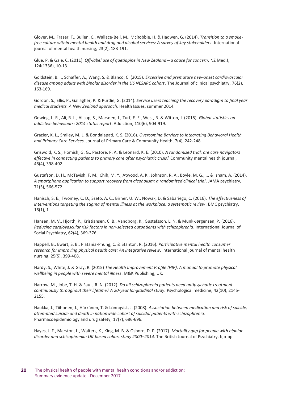Glover, M., Fraser, T., Bullen, C., Wallace‐Bell, M., McRobbie, H. & Hadwen, G. (2014). *Transition to a smoke*‐ *free culture within mental health and drug and alcohol services: A survey of key stakeholders*. International journal of mental health nursing, 23(2), 183-191.

Glue, P. & Gale, C. (2011). *Off-label use of quetiapine in New Zealand—a cause for concern*. NZ Med J, 124(1336), 10-13.

Goldstein, B. I., Schaffer, A., Wang, S. & Blanco, C. (2015). *Excessive and premature new-onset cardiovascular disease among adults with bipolar disorder in the US NESARC cohort*. The Journal of clinical psychiatry, 76(2), 163-169.

Gordon, S., Ellis, P., Gallagher, P. & Purdie, G. (2014). *Service users teaching the recovery paradigm to final year medical students. A New Zealand approach*. Health Issues, summer 2014.

Gowing, L. R., Ali, R. L., Allsop, S., Marsden, J., Turf, E. E., West, R. & Witton, J. (2015). *Global statistics on addictive behaviours: 2014 status report*. Addiction, 110(6), 904-919.

Grazier, K. L., Smiley, M. L. & Bondalapati, K. S. (2016). *Overcoming Barriers to Integrating Behavioral Health and Primary Care Services*. Journal of Primary Care & Community Health, 7(4), 242-248.

Griswold, K. S., Homish, G. G., Pastore, P. A. & Leonard, K. E. (2010). *A randomized trial: are care navigators effective in connecting patients to primary care after psychiatric crisis?* Community mental health journal, 46(4), 398-402.

Gustafson, D. H., McTavish, F. M., Chih, M. Y., Atwood, A. K., Johnson, R. A., Boyle, M. G., ... & Isham, A. (2014). *A smartphone application to support recovery from alcoholism: a randomized clinical trial*. JAMA psychiatry, 71(5), 566-572.

Hanisch, S. E., Twomey, C. D., Szeto, A. C., Birner, U. W., Nowak, D. & Sabariego, C. (2016). *The effectiveness of interventions targeting the stigma of mental illness at the workplace: a systematic review*. BMC psychiatry, 16(1), 1.

Hansen, M. V., Hjorth, P., Kristiansen, C. B., Vandborg, K., Gustafsson, L. N. & Munk-Jørgensen, P. (2016). *Reducing cardiovascular risk factors in non-selected outpatients with schizophrenia*. International Journal of Social Psychiatry, 62(4), 369-376.

Happell, B., Ewart, S. B., Platania‐Phung, C. & Stanton, R. (2016). *Participative mental health consumer research for improving physical health care: An integrative review*. International journal of mental health nursing, 25(5), 399-408.

Hardy, S., White, J. & Gray, R. (2015) *The Health Improvement Profile (HIP). A manual to promote physical wellbeing in people with severe mental illness*. M&K Publishing, UK.

Harrow, M., Jobe, T. H. & Faull, R. N. (2012). *Do all schizophrenia patients need antipsychotic treatment continuously throughout their lifetime? A 20-year longitudinal study*. Psychological medicine, 42(10), 2145- 2155.

Haukka, J., Tiihonen, J., Härkänen, T. & Lönnqvist, J. (2008). *Association between medication and risk of suicide, attempted suicide and death in nationwide cohort of suicidal patients with schizophrenia*. Pharmacoepidemiology and drug safety, 17(7), 686-696.

Hayes, J. F., Marston, L., Walters, K., King, M. B. & Osborn, D. P. (2017). *Mortality gap for people with bipolar disorder and schizophrenia: UK-based cohort study 2000–2014*. The British Journal of Psychiatry, bjp-bp.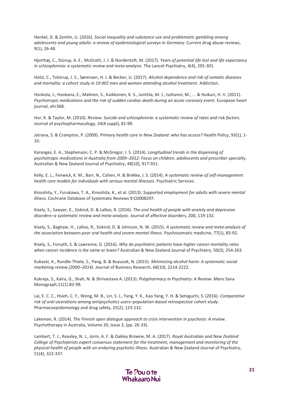Henkel, D. & Zemlin, U. (2016). *Social inequality and substance use and problematic gambling among adolescents and young adults: a review of epidemiological surveys in Germany*. Current drug abuse reviews, 9(1), 26-48.

Hjorthøj, C., Stürup, A. E., McGrath, J. J. & Nordentoft, M. (2017). *Years of potential life lost and life expectancy in schizophrenia: a systematic review and meta-analysis*. The Lancet Psychiatry, 4(4), 295-301.

Holst, C., Tolstrup, J. S., Sørensen, H. J. & Becker, U. (2017). *Alcohol dependence and risk of somatic diseases and mortality: a cohort study in 19 002 men and women attending alcohol treatment*. Addiction.

Honkola, J., Hookana, E., Malinen, S., Kaikkonen, K. S., Junttila, M. J., Isohanni, M., ... & Huikuri, H. V. (2011). *Psychotropic medications and the risk of sudden cardiac death during an acute coronary event.* European heart journal, ehr368.

Hor, K. & Taylor, M. (2010). *Review: Suicide and schizophrenia: a systematic review of rates and risk factors*. Journal of psychopharmacology, 24(4 suppl), 81-90.

Jatrana, S. & Crampton, P. (2009). *Primary health care in New Zealand: who has access?* Health Policy, 93(1), 1- 10.

Karanges, E. A., Stephenson, C. P. & McGregor, I. S. (2014). *Longitudinal trends in the dispensing of psychotropic medications in Australia from 2009–2012: Focus on children, adolescents and prescriber specialty*. Australian & New Zealand Journal of Psychiatry, 48(10), 917-931.

Kelly, E. L., Fenwick, K. M., Barr, N., Cohen, H. & Brekke, J. S. (2014). *A systematic review of self-management health care models for individuals with serious mental illnesses*. Psychiatric Services.

Kinoshita, Y., Furukawa, T. A., Kinoshita, K., et al. (2013). *Supported employment for adults with severe mental illness.* Cochrane Database of Systematic Reviews 9:CD008297.

Kisely, S., Sawyer, E., Siskind, D. & Lalloo, R. (2016). *The oral health of people with anxiety and depressive disorders–a systematic review and meta-analysis*. Journal of affective disorders, 200, 119-132.

Kisely, S., Baghaie, H., Lalloo, R., Siskind, D. & Johnson, N. W. (2015). *A systematic review and meta-analysis of the association between poor oral health and severe mental illness*. Psychosomatic medicine, 77(1), 83-92.

Kisely, S., Forsyth, S. & Lawrence, D. (2016). *Why do psychiatric patients have higher cancer mortality rates when cancer incidence is the same or lower?* Australian & New Zealand Journal of Psychiatry, 50(3), 254-263.

Kubacki, K., Rundle-Thiele, S., Pang, B. & Buyucek, N. (2015). *Minimizing alcohol harm: A systematic social marketing review (2000–2014)*. Journal of Business Research, 68(10), 2214-2222.

Kukreja, S., Kalra, G., Shah, N. & Shrivastava A. (2013). *Polypharmacy in Psychiatry: A Review*. Mens Sana Monograph;11(1):82-99.

Lai, E. C. C., Hsieh, C. Y., Wong, M. B., Lin, S. J., Yang, Y. K., Kao Yang, Y. H. & Setoguchi, S. (2016). *Comparative risk of oral ulcerations among antipsychotics users–population*‐*based retrospective cohort study*. Pharmacoepidemiology and drug safety, 25(2), 123-132.

Lakeman, R. (2014). *The Finnish open dialogue approach to crisis intervention in psychosis: A review.*  Psychotherapy in Australia, Volume 20, Issue 3, (pp. 26-33).

Lambert, T. J., Reavley, N. J., Jorm, A. F. & Oakley Browne, M. A. (2017). *Royal Australian and New Zealand College of Psychiatrists expert consensus statement for the treatment, management and monitoring of the physical health of people with an enduring psychotic illness*. Australian & New Zealand Journal of Psychiatry, 51(4), 322-337.

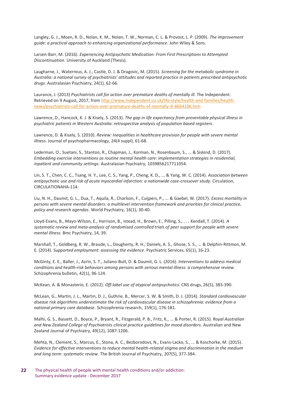Langley, G. J., Moen, R. D., Nolan, K. M., Nolan, T. W., Norman, C. L. & Provost, L. P. (2009). *The improvement guide: a practical approach to enhancing organizational performance*. John Wiley & Sons.

Larsen-Barr, M. (2016). *Experiencing Antipsychotic Medication: From First Prescriptions to Attempted Discontinuation*. University of Auckland (Thesis).

Laugharne, J., Waterreus, A. J., Castle, D. J. & Dragovic, M. (2015). *Screening for the metabolic syndrome in Australia: a national survey of psychiatrists' attitudes and reported practice in patients prescribed antipsychotic drugs*. Australasian Psychiatry, 24(1), 62-66.

Laurance, J. (2013) *Psychiatrists call for action over premature deaths of mentally ill*. The Independent. Retrieved on 9 August, 2017, fro[m http://www.independent.co.uk/life-style/health-and-families/health](http://www.independent.co.uk/life-style/health-and-families/health-news/psychiatrists-call-for-action-over-premature-deaths-of-mentally-ill-8664106.htm)[news/psychiatrists-call-for-action-over-premature-deaths-of-mentally-ill-8664106.htm](http://www.independent.co.uk/life-style/health-and-families/health-news/psychiatrists-call-for-action-over-premature-deaths-of-mentally-ill-8664106.htm)

Lawrence, D., Hancock, K. J. & Kisely, S. (2013). *The gap in life expectancy from preventable physical illness in psychiatric patients in Western Australia: retrospective analysis of population based registers*.

Lawrence, D. & Kisely, S. (2010). *Review: Inequalities in healthcare provision for people with severe mental illness*. Journal of psychopharmacology, 24(4 suppl), 61-68.

Lederman, O., Suetani, S., Stanton, R., Chapman, J., Korman, N., Rosenbaum, S., ... & Siskind, D. (2017). *Embedding exercise interventions as routine mental health care: implementation strategies in residential, inpatient and community settings*. Australasian Psychiatry, 1039856217711054.

Lin, S. T., Chen, C. C., Tsang, H. Y., Lee, C. S., Yang, P., Cheng, K. D., ... & Yang, W. C. (2014). *Association between antipsychotic use and risk of acute myocardial infarction: a nationwide case-crossover study*. Circulation, CIRCULATIONAHA-114.

Liu, N. H., Daumit, G. L., Dua, T., Aquila, R., Charlson, F., Cuijpers, P., ... & Gaebel, W. (2017). *Excess mortality in persons with severe mental disorders: a multilevel intervention framework and priorities for clinical practice, policy and research agendas*. World Psychiatry, 16(1), 30-40.

Lloyd-Evans, B., Mayo-Wilson, E., Harrison, B., Istead, H., Brown, E., Pilling, S., . . . Kendall, T. (2014). *A systematic review and meta-analysis of randomised controlled trials of peer support for people with severe mental illness*. Bmc Psychiatry, 14, 39.

Marshall, T., Goldberg, R. W., Braude, L., Dougherty, R. H., Daniels, A. S., Ghose, S. S., ... & Delphin-Rittmon, M. E. (2014). *Supported employment: assessing the evidence*. Psychiatric Services, 65(1), 16-23.

McGinty, E. E., Baller, J., Azrin, S. T., Juliano-Bult, D. & Daumit, G. L. (2016). *Interventions to address medical conditions and health-risk behaviors among persons with serious mental illness: a comprehensive review*. Schizophrenia bulletin, 42(1), 96-124.

McKean, A. & Monasterio, E. (2012). *Off-label use of atypical antipsychotics*. CNS drugs, 26(5), 383-390.

McLean, G., Martin, J. L., Martin, D. J., Guthrie, B., Mercer, S. W. & Smith, D. J. (2014). *Standard cardiovascular disease risk algorithms underestimate the risk of cardiovascular disease in schizophrenia: evidence from a national primary care database*. Schizophrenia research, 159(1), 176-181.

Malhi, G. S., Bassett, D., Boyce, P., Bryant, R., Fitzgerald, P. B., Fritz, K., ... & Porter, R. (2015). *Royal Australian and New Zealand College of Psychiatrists clinical practice guidelines for mood disorders*. Australian and New Zealand Journal of Psychiatry, 49(12), 1087-1206.

Mehta, N., Clement, S., Marcus, E., Stona, A. C., Bezborodovs, N., Evans-Lacko, S., ... & Koschorke, M. (2015). *Evidence for effective interventions to reduce mental health-related stigma and discrimination in the medium and long term: systematic review*. The British Journal of Psychiatry, 207(5), 377-384.

**22** The physical health of people with mental health conditions and/or addiction: Summary evidence update - December 2017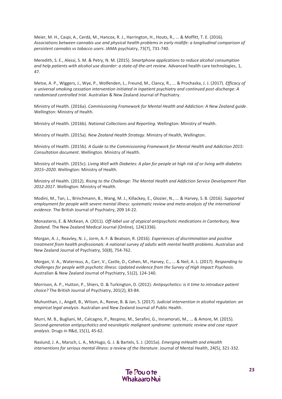Meier, M. H., Caspi, A., Cerdá, M., Hancox, R. J., Harrington, H., Houts, R., ... & Moffitt, T. E. (2016). *Associations between cannabis use and physical health problems in early midlife: a longitudinal comparison of persistent cannabis vs tobacco users*. JAMA psychiatry, 73(7), 731-740.

Meredith, S. E., Alessi, S. M. & Petry, N. M. (2015). *Smartphone applications to reduce alcohol consumption and help patients with alcohol use disorder: a state-of-the-art review*. Advanced health care technologies, 1, 47.

Metse, A. P., Wiggers, J., Wye, P., Wolfenden, L., Freund, M., Clancy, R., ... & Prochaska, J. J. (2017). *Efficacy of a universal smoking cessation intervention initiated in inpatient psychiatry and continued post-discharge: A randomised controlled trial*. Australian & New Zealand Journal of Psychiatry.

Ministry of Health. (2016a). *Commissioning Framework for Mental Health and Addiction: A New Zealand guide*. Wellington: Ministry of Health.

Ministry of Health. (2016b). *National Collections and Reporting*. Wellington: Ministry of Health.

Ministry of Health. (2015a). *New Zealand Health Strategy*. Ministry of Health, Wellington.

Ministry of Health. (2015b). *A Guide to the Commissioning Framework for Mental Health and Addiction 2015: Consultation document*. Wellington. Ministry of Health.

Ministry of Health. (2015c). *Living Well with Diabetes: A plan for people at high risk of or living with diabetes 2015–2020*. Wellington: Ministry of Health.

Ministry of Health. (2012). *Rising to the Challenge: The Mental Health and Addiction Service Development Plan 2012-2017*. Wellington: Ministry of Health.

Modini, M., Tan, L., Brinchmann, B., Wang, M. J., Killackey, E., Glozier, N., ... & Harvey, S. B. (2016). *Supported employment for people with severe mental illness: systematic review and meta-analysis of the international evidence*. The British Journal of Psychiatry, 209 14-22.

Monasterio, E. & McKean, A. (2011). *Off-label use of atypical antipsychotic medications in Canterbury, New Zealand*. The New Zealand Medical Journal (Online), 124(1336).

Morgan, A. J., Reavley, N. J., Jorm, A. F. & Beatson, R. (2016). *Experiences of discrimination and positive treatment from health professionals: A national survey of adults with mental health problems*. Australian and New Zealand Journal of Psychiatry, 50(8), 754-762.

Morgan, V. A., Waterreus, A., Carr, V., Castle, D., Cohen, M., Harvey, C., ... & Neil, A. L. (2017). *Responding to challenges for people with psychotic illness: Updated evidence from the Survey of High Impact Psychosis*. Australian & New Zealand Journal of Psychiatry, 51(2), 124-140.

Morrison, A. P., Hutton, P., Shiers, D. & Turkington, D. (2012). *Antipsychotics: is it time to introduce patient choice?* The British Journal of Psychiatry, 201(2), 83-84.

Muhunthan, J., Angell, B., Wilson, A., Reeve, B. & Jan, S. (2017). *Judicial intervention in alcohol regulation: an empirical legal analysis*. Australian and New Zealand Journal of Public Health.

Murri, M. B., Bugliani, M., Calcagno, P., Respino, M., Serafini, G., Innamorati, M., ... & Amore, M. (2015). *Second-generation antipsychotics and neuroleptic malignant syndrome: systematic review and case report analysis*. Drugs in R&d, 15(1), 45-62.

Naslund, J. A., Marsch, L. A., McHugo, G. J. & Bartels, S. J. (2015a). *Emerging mHealth and eHealth interventions for serious mental illness: a review of the literature*. Journal of Mental Health, 24(5), 321-332.

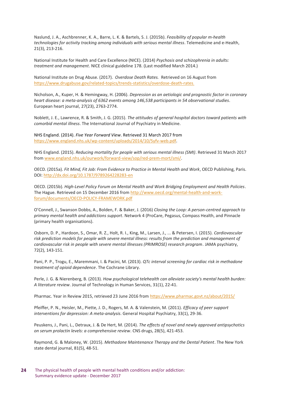Naslund, J. A., Aschbrenner, K. A., Barre, L. K. & Bartels, S. J. (2015b). *Feasibility of popular m-health technologies for activity tracking among individuals with serious mental illness*. Telemedicine and e-Health, 21(3), 213-216.

National Institute for Health and Care Excellence (NICE). (2014) *Psychosis and schizophrenia in adults: treatment and management*. NICE clinical guideline 178. (Last modified March 2014.)

National Institute on Drug Abuse. (2017). *Overdose Death Rates.* Retrieved on 16 August from <https://www.drugabuse.gov/related-topics/trends-statistics/overdose-death-rates>.

Nicholson, A., Kuper, H. & Hemingway, H. (2006). *Depression as an aetiologic and prognostic factor in coronary heart disease: a meta-analysis of 6362 events among 146,538 participants in 54 observational studies*. European heart journal, 27(23), 2763-2774.

Noblett, J. E., Lawrence, R. & Smith, J. G. (2015). *The attitudes of general hospital doctors toward patients with comorbid mental illness*. The International Journal of Psychiatry in Medicine.

NHS England. (2014). *Five Year Forward View*. Retrieved 31 March 2017 from [https://www.england.nhs.uk/wp-content/uploads/2014/10/5yfv-web.pdf.](https://www.england.nhs.uk/wp-content/uploads/2014/10/5yfv-web.pdf)

NHS England. (2015). *Reducing mortality for people with serious mental illness (SMI)*. Retrieved 31 March 2017 from [www.england.nhs.uk/ourwork/forward-view/sop/red-prem-mort/smi/.](http://www.england.nhs.uk/ourwork/forward-view/sop/red-prem-mort/smi/)

OECD. (2015a). *Fit Mind, Fit Job: From Evidence to Practice in Mental Health and Work*, OECD Publishing, Paris. DOI:<http://dx.doi.org/10.1787/9789264228283-en>

OECD. (2015b). *High-Level Policy Forum on Mental Health and Work Bridging Employment and Health Policies*. The Hague. Retrieved on 15 December 2016 fro[m http://www.oecd.org/mental-health-and-work](http://www.oecd.org/mental-health-and-work-forum/documents/OECD-POLICY-FRAMEWORK.pdf)[forum/documents/OECD-POLICY-FRAMEWORK.pdf](http://www.oecd.org/mental-health-and-work-forum/documents/OECD-POLICY-FRAMEWORK.pdf)

O'Connell, J., Swanson Dobbs, A., Bolden, F. & Baker, J. (2016) *Closing the Loop: A person-centred approach to primary mental health and addictions support*. Network 4 (ProCare, Pegasus, Compass Health, and Pinnacle (primary health organisations).

Osborn, D. P., Hardoon, S., Omar, R. Z., Holt, R. I., King, M., Larsen, J., ... & Petersen, I. (2015). *Cardiovascular risk prediction models for people with severe mental illness: results from the prediction and management of cardiovascular risk in people with severe mental illnesses (PRIMROSE) research program*. JAMA psychiatry, 72(2), 143-151.

Pani, P. P., Trogu, E., Maremmani, I. & Pacini, M. (2013). *QTc interval screening for cardiac risk in methadone treatment of opioid dependence*. The Cochrane Library.

Perle, J. G. & Nierenberg, B. (2013). *How psychological telehealth can alleviate society's mental health burden: A literature review*. Journal of Technology in Human Services, 31(1), 22-41.

Pharmac. Year in Review 2015, retrieved 23 June 2016 from<https://www.pharmac.govt.nz/about/2015/>

Pfeiffer, P. N., Heisler, M., Piette, J. D., Rogers, M. A. & Valenstein, M. (2011). *Efficacy of peer support interventions for depression: A meta-analysis*. General Hospital Psychiatry, 33(1), 29-36.

Peuskens, J., Pani, L., Detraux, J. & De Hert, M. (2014). *The effects of novel and newly approved antipsychotics on serum prolactin levels: a comprehensive review*. CNS drugs, 28(5), 421-453.

Raymond, G. & Maloney, W. (2015). *Methadone Maintenance Therapy and the Dental Patient*. The New York state dental journal, 81(5), 48-51.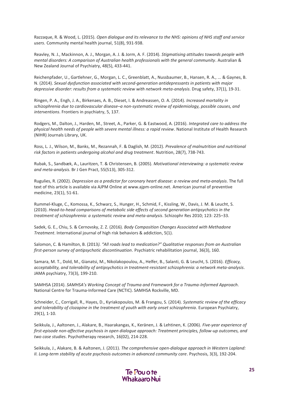Razzaque, R. & Wood, L. (2015). *Open dialogue and its relevance to the NHS: opinions of NHS staff and service users*. Community mental health journal, 51(8), 931-938.

Reavley, N. J., Mackinnon, A. J., Morgan, A. J. & Jorm, A. F. (2014). *Stigmatising attitudes towards people with mental disorders: A comparison of Australian health professionals with the general community*. Australian & New Zealand Journal of Psychiatry, 48(5), 433-441.

Reichenpfader, U., Gartlehner, G., Morgan, L. C., Greenblatt, A., Nussbaumer, B., Hansen, R. A., ... & Gaynes, B. N. (2014). *Sexual dysfunction associated with second-generation antidepressants in patients with major depressive disorder: results from a systematic review with network meta-analysis*. Drug safety, 37(1), 19-31.

Ringen, P. A., Engh, J. A., Birkenaes, A. B., Dieset, I. & Andreassen, O. A. (2014). *Increased mortality in schizophrenia due to cardiovascular disease–a non-systematic review of epidemiology, possible causes, and interventions*. Frontiers in psychiatry, 5, 137.

Rodgers, M., Dalton, J., Harden, M., Street, A., Parker, G. & Eastwood, A. (2016). *Integrated care to address the physical health needs of people with severe mental illness: a rapid review*. National Institute of Health Research (NIHR) Journals Library, UK.

Ross, L. J., Wilson, M., Banks, M., Rezannah, F. & Daglish, M. (2012). *Prevalence of malnutrition and nutritional risk factors in patients undergoing alcohol and drug treatment*. Nutrition, 28(7), 738-743.

Rubak, S., Sandbæk, A., Lauritzen, T. & Christensen, B. (2005). *Motivational interviewing: a systematic review and meta-analysis*. Br J Gen Pract, 55(513), 305-312.

Rugulies, R. (2002). *Depression as a predictor for coronary heart disease: a review and meta-analysis*. The full text of this article is available via AJPM Online at www.ajpm-online.net. American journal of preventive medicine, 23(1), 51-61.

Rummel-Kluge, C., Komossa, K., Schwarz, S., Hunger, H., Schmid, F., Kissling, W., Davis, J. M. & Leucht, S. (2010). *Head-to-head comparisons of metabolic side effects of second generation antipsychotics in the treatment of schizophrenia: a systematic review and meta-analysis*. Schizophr Res 2010; 123: 225–33.

Sadek, G. E., Chiu, S. & Cernovsky, Z. Z. (2016). *Body Composition Changes Associated with Methadone Treatment*. International journal of high risk behaviors & addiction, 5(1).

Salomon, C. & Hamilton, B. (2013*). "All roads lead to medication?" Qualitative responses from an Australian first-person survey of antipsychotic discontinuation*. Psychiatric rehabilitation journal, 36(3), 160.

Samara, M. T., Dold, M., Gianatsi, M., Nikolakopoulou, A., Helfer, B., Salanti, G. & Leucht, S. (2016). *Efficacy, acceptability, and tolerability of antipsychotics in treatment-resistant schizophrenia: a network meta-analysis*. JAMA psychiatry, 73(3), 199-210.

SAMHSA (2014). *SAMHSA's Working Concept of Trauma and Framework for a Trauma-Informed Approach*. National Centre for Trauma-Informed Care (NCTIC). SAMHSA Rockville, MD.

Schneider, C., Corrigall, R., Hayes, D., Kyriakopoulos, M. & Frangou, S. (2014). *Systematic review of the efficacy and tolerability of clozapine in the treatment of youth with early onset schizophrenia*. European Psychiatry, 29(1), 1-10.

Seikkula, J., Aaltonen, J., Alakare, B., Haarakangas, K., Keränen, J. & Lehtinen, K. (2006). *Five-year experience of first-episode non-affective psychosis in open dialogue approach: Treatment principles, follow-up outcomes, and two case studies*. Psychotherapy research, 16(02), 214-228.

Seikkula, J., Alakare, B. & Aaltonen, J. (2011). *The comprehensive open-dialogue approach in Western Lapland: II. Long-term stability of acute psychosis outcomes in advanced community care. Psychosis, 3(3), 192-204.* 

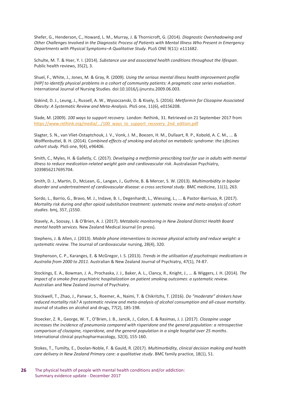Shefer, G., Henderson, C., Howard, L. M., Murray, J. & Thornicroft, G. (2014). *Diagnostic Overshadowing and Other Challenges Involved in the Diagnostic Process of Patients with Mental Illness Who Present in Emergency Departments with Physical Symptoms–A Qualitative Study*. PLoS ONE 9(11): e111682.

Schulte, M. T. & Hser, Y. I. (2014). *Substance use and associated health conditions throughout the lifespan*. Public health reviews, 35(2), 3.

Shuel, F., White, J., Jones, M. & Gray, R. (2009). *Using the serious mental illness health improvement profile [HIP] to identify physical problems in a cohort of community patients: A pragmatic case series evaluation*. International Journal of Nursing Studies. doi:10.1016/j.ijnurstu.2009.06.003.

Siskind, D. J., Leung, J., Russell, A. W., Wysoczanski, D. & Kisely, S. (2016). *Metformin for Clozapine Associated Obesity: A Systematic Review and Meta-Analysis*. PloS one, 11(6), e0156208.

Slade, M. (2009). *100 ways to support recovery*. London: Rethink, 31. Retrieved on 21 September 2017 from [https://www.rethink.org/media/.../100\\_ways\\_to\\_support\\_recovery\\_2nd\\_edition.pdf](https://www.rethink.org/media/.../100_ways_to_support_recovery_2nd_edition.pdf)

Slagter, S. N., van Vliet-Ostaptchouk, J. V., Vonk, J. M., Boezen, H. M., Dullaart, R. P., Kobold, A. C. M., ... & Wolffenbuttel, B. H. (2014). Co*mbined effects of smoking and alcohol on metabolic syndrome: the LifeLines cohort study*. PloS one, 9(4), e96406.

Smith, C., Myles, H. & Galletly, C. (2017). *Developing a metformin prescribing tool for use in adults with mental illness to reduce medication-related weight gain and cardiovascular risk*. Australasian Psychiatry, 1039856217695704.

Smith, D. J., Martin, D., McLean, G., Langan, J., Guthrie, B. & Mercer, S. W. (2013). *Multimorbidity in bipolar disorder and undertreatment of cardiovascular disease: a cross sectional study*. BMC medicine, 11(1), 263.

Sordo, L., Barrio, G., Bravo, M. J., Indave, B. I., Degenhardt, L., Wiessing, L., ... & Pastor-Barriuso, R. (2017). *Mortality risk during and after opioid substitution treatment: systematic review and meta-analysis of cohort studies*. bmj, 357, j1550.

Stavely, A., Soosay, I. & O'Brien, A. J. (2017). *Metabolic monitoring in New Zealand District Health Board mental health services*. New Zealand Medical Journal (in press).

Stephens, J. & Allen, J. (2013). *Mobile phone interventions to increase physical activity and reduce weight: a systematic review*. The Journal of cardiovascular nursing, 28(4), 320.

Stephenson, C. P., Karanges, E. & McGregor, I. S. (2013). *Trends in the utilisation of psychotropic medications in Australia from 2000 to 2011*. Australian & New Zealand Journal of Psychiatry, 47(1), 74-87.

Stockings, E. A., Bowman, J. A., Prochaska, J. J., Baker, A. L., Clancy, R., Knight, J., ... & Wiggers, J. H. (2014). *The impact of a smoke-free psychiatric hospitalization on patient smoking outcomes: a systematic review*. Australian and New Zealand Journal of Psychiatry.

Stockwell, T., Zhao, J., Panwar, S., Roemer, A., Naimi, T. & Chikritzhs, T. (2016). *Do "moderate" drinkers have reduced mortality risk? A systematic review and meta-analysis of alcohol consumption and all-cause mortality*. Journal of studies on alcohol and drugs, 77(2), 185-198.

Stoecker, Z. R., George, W. T., O'Brien, J. B., Jancik, J., Colon, E. & Rasimas, J. J. (2017). *Clozapine usage increases the incidence of pneumonia compared with risperidone and the general population: a retrospective comparison of clozapine, risperidone, and the general population in a single hospital over 25 months*. International clinical psychopharmacology, 32(3), 155-160.

Stokes, T., Tumilty, E., Doolan-Noble, F. & Gauld, R. (2017). *Multimorbidity, clinical decision making and health care delivery in New Zealand Primary care: a qualitative study*. BMC family practice, 18(1), 51.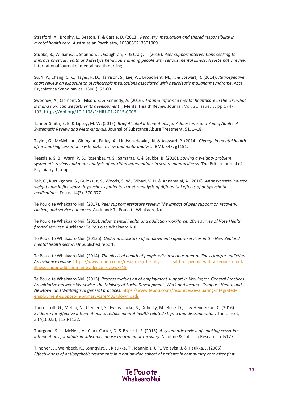Stratford, A., Brophy, L., Beaton, T. & Castle, D. (2013). *Recovery, medication and shared responsibility in mental health care*. Australasian Psychiatry, 1039856213501009.

Stubbs, B., Williams, J., Shannon, J., Gaughran, F. & Craig, T. (2016). *Peer support interventions seeking to improve physical health and lifestyle behaviours among people with serious mental illness: A systematic review*. International journal of mental health nursing.

Su, Y. P., Chang, C. K., Hayes, R. D., Harrison, S., Lee, W., Broadbent, M., ... & Stewart, R. (2014). *Retrospective chart review on exposure to psychotropic medications associated with neuroleptic malignant syndrome*. Acta Psychiatrica Scandinavica, 130(1), 52-60.

Sweeney, A., Clement, S., Filson, B. & Kennedy, A. (2016). *Trauma-informed mental healthcare in the UK: what is it and how can we further its development?*, Mental Health Review Journal, Vol. 21 Issue: 3, pp.174- 192, <https://doi.org/10.1108/MHRJ-01-2015-0006>

Tanner-Smith, E. E. & Lipsey, M. W. (2015). *Brief Alcohol Interventions for Adolescents and Young Adults: A Systematic Review and Meta-analysis*. Journal of Substance Abuse Treatment, 51, 1–18.

Taylor, G., McNeill, A., Girling, A., Farley, A., Lindson-Hawley, N. & Aveyard, P. (2014). *Change in mental health after smoking cessation: systematic review and meta-analysis*. BMJ, 348, g1151.

Teasdale, S. B., Ward, P. B., Rosenbaum, S., Samaras, K. & Stubbs, B. (2016). *Solving a weighty problem: systematic review and meta-analysis of nutrition interventions in severe mental illness*. The British Journal of Psychiatry, bjp-bp.

Tek, C., Kucukgoncu, S., Guloksuz, S., Woods, S. W., Srihari, V. H. & Annamalai, A. (2016). *Antipsychotic-induced weight gain in first-episode psychosis patients: a meta-analysis of differential effects of antipsychotic medications*. Focus, 14(3), 370-377.

Te Pou o te Whakaaro Nui. (2017). *Peer support literature review: The impact of peer support on recovery, clinical, and service outcomes*. Auckland: Te Pou o te Whakaaro Nui.

Te Pou o te Whakaaro Nui. (2015). *Adult mental health and addiction workforce: 2014 survey of Vote Health funded services*. Auckland: Te Pou o te Whakaaro Nui.

Te Pou o te Whakaaro Nui. (2015a). *Updated stocktake of employment support services in the New Zealand mental health sector*. Unpublished report.

Te Pou o te Whakaaro Nui. (2014). *The physical health of people with a serious mental illness and/or addiction: An evidence review*[. https://www.tepou.co.nz/resources/the-physical-health-of-people-with-a-serious-mental](https://www.tepou.co.nz/resources/the-physical-health-of-people-with-a-serious-mental-illness-andor-addiction-an-evidence-review/515)[illness-andor-addiction-an-evidence-review/515](https://www.tepou.co.nz/resources/the-physical-health-of-people-with-a-serious-mental-illness-andor-addiction-an-evidence-review/515)

Te Pou o te Whakaaro Nui. (2013). *Process evaluation of employment support in Wellington General Practices: An initiative between Workwise, the Ministry of Social Development, Work and Income, Compass Health and Newtown and Waitangirua general practices*[. https://www.tepou.co.nz/resources/evaluating-integrated](https://www.tepou.co.nz/resources/evaluating-integrated-employment-support-in-primary-care/433#downloads)[employment-support-in-primary-care/433#downloads](https://www.tepou.co.nz/resources/evaluating-integrated-employment-support-in-primary-care/433#downloads)

Thornicroft, G., Mehta, N., Clement, S., Evans-Lacko, S., Doherty, M., Rose, D., ... & Henderson, C. (2016). *Evidence for effective interventions to reduce mental-health-related stigma and discrimination*. The Lancet, 387(10023), 1123-1132.

Thurgood, S. L., McNeill, A., Clark-Carter, D. & Brose, L. S. (2016). *A systematic review of smoking cessation interventions for adults in substance abuse treatment or recovery*. Nicotine & Tobacco Research, ntv127.

Tiihonen, J., Walhbeck, K., Lönnqvist, J., Klaukka, T., Ioannidis, J. P., Volavka, J. & Haukka, J. (2006). *Effectiveness of antipsychotic treatments in a nationwide cohort of patients in community care after first* 

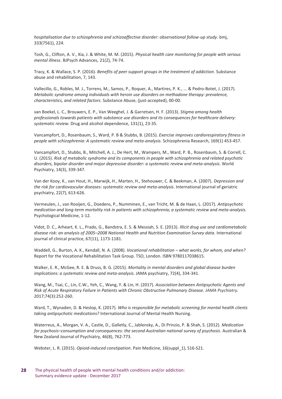*hospitalisation due to schizophrenia and schizoaffective disorder: observational follow-up study*. bmj, 333(7561), 224.

Tosh, G., Clifton, A. V., Xia, J. & White, M. M. (2015). *Physical health care monitoring for people with serious mental illness*. BJPsych Advances, 21(2), 74-74.

Tracy, K. & Wallace, S. P. (2016). *Benefits of peer support groups in the treatment of addiction*. Substance abuse and rehabilitation, 7, 143.

Vallecillo, G., Robles, M. J., Torrens, M., Samos, P., Roquer, A., Martires, P. K., ... & Pedro-Botet, J. (2017). *Metabolic syndrome among individuals with heroin use disorders on methadone therapy: prevalence, characteristics, and related factors*. Substance Abuse, (just-accepted), 00-00.

van Boekel, L. C., Brouwers, E. P., Van Weeghel, J. & Garretsen, H. F. (2013). *Stigma among health professionals towards patients with substance use disorders and its consequences for healthcare delivery: systematic review*. Drug and alcohol dependence, 131(1), 23-35.

Vancampfort, D., Rosenbaum, S., Ward, P. B & Stubbs, B. (2015). *Exercise improves cardiorespiratory fitness in people with schizophrenia: A systematic review and meta-analysis*. Schizophrenia Research, 169(1) 453-457.

Vancampfort, D., Stubbs, B., Mitchell, A. J., De Hert, M., Wampers, M., Ward, P. B., Rosenbaum, S. & Correll, C. U. (2015). *Risk of metabolic syndrome and its components in people with schizophrenia and related psychotic disorders, bipolar disorder and major depressive disorder: a systematic review and meta*‐*analysis*. World Psychiatry, 14(3), 339-347.

Van der Kooy, K., van Hout, H., Marwijk, H., Marten, H., Stehouwer, C. & Beekman, A. (2007). *Depression and the risk for cardiovascular diseases: systematic review and meta-analysis*. International journal of geriatric psychiatry, 22(7), 613-626.

Vermeulen, J., van Rooijen, G., Doedens, P., Numminen, E., van Tricht, M. & de Haan, L. (2017). *Antipsychotic medication and long-term mortality risk in patients with schizophrenia; a systematic review and meta-analysis*. Psychological Medicine, 1-12.

Vidot, D. C., Arheart, K. L., Prado, G., Bandstra, E. S. & Messiah, S. E. (2013). *Illicit drug use and cardiometabolic disease risk: an analysis of 2005–2008 National Health and Nutrition Examination Survey data*. International journal of clinical practice, 67(11), 1173-1181.

Waddell, G., Burton, A. K., Kendall, N. A. (2008). *Vocational rehabilitation – what works, for whom, and when?* Report for the Vocational Rehabilitation Task Group. TSO, London. ISBN 9780117038615.

Walker, E. R., McGee, R. E. & Druss, B. G. (2015). *Mortality in mental disorders and global disease burden implications: a systematic review and meta-analysis*. JAMA psychiatry, 72(4), 334-341.

Wang, M., Tsai, C., Lin, C.W., Yeh, C., Wang, Y. & Lin, H. (2017). *Association between Antipsychotic Agents and Risk of Acute Respiratory Failure in Patients with Chronic Obstructive Pulmonary Disease*. *JAMA Psychiatry.* 2017;74(3):252-260.

Ward, T., Wynaden, D. & Heslop, K. (2017). *Who is responsible for metabolic screening for mental health clients taking antipsychotic medications?* International Journal of Mental Health Nursing.

Waterreus, A., Morgan, V. A., Castle, D., Galletly, C., Jablensky, A., Di Prinzio, P. & Shah, S. (2012). *Medication for psychosis–consumption and consequences: the second Australian national survey of psychosis*. Australian & New Zealand Journal of Psychiatry, 46(8), 762-773.

Webster, L. R. (2015). *Opioid-induced constipation*. Pain Medicine, 16(suppl\_1), S16-S21.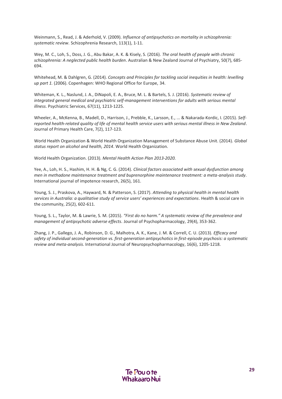Weinmann, S., Read, J. & Aderhold, V. (2009). *Influence of antipsychotics on mortality in schizophrenia: systematic review*. Schizophrenia Research, 113(1), 1-11.

Wey, M. C., Loh, S., Doss, J. G., Abu Bakar, A. K. & Kisely, S. (2016). *The oral health of people with chronic schizophrenia: A neglected public health burden*. Australian & New Zealand Journal of Psychiatry, 50(7), 685- 694.

Whitehead, M. & Dahlgren, G. (2014). *Concepts and Principles for tackling social inequities in health: levelling up part 1.* (2006). Copenhagen: WHO Regional Office for Europe, 34.

Whiteman, K. L., Naslund, J. A., DiNapoli, E. A., Bruce, M. L. & Bartels, S. J. (2016). *Systematic review of integrated general medical and psychiatric self-management interventions for adults with serious mental illness*. Psychiatric Services, 67(11), 1213-1225.

Wheeler, A., McKenna, B., Madell, D., Harrison, J., Prebble, K., Larsson, E., ... & Nakarada-Kordic, I. (2015). *Selfreported health-related quality of life of mental health service users with serious mental illness in New Zealand*. Journal of Primary Health Care, 7(2), 117-123.

World Health Organization & World Health Organization Management of Substance Abuse Unit. (2014). *Global status report on alcohol and health, 2014*. World Health Organization.

World Health Organization. (2013). *Mental Health Action Plan 2013-2020.*

Yee, A., Loh, H. S., Hashim, H. H. & Ng, C. G. (2014). *Clinical factors associated with sexual dysfunction among men in methadone maintenance treatment and buprenorphine maintenance treatment: a meta-analysis study*. International journal of impotence research, 26(5), 161.

Young, S. J., Praskova, A., Hayward, N. & Patterson, S. (2017). *Attending to physical health in mental health services in Australia: a qualitative study of service users' experiences and expectations*. Health & social care in the community, 25(2), 602-611.

Young, S. L., Taylor, M. & Lawrie, S. M. (2015). *"First do no harm." A systematic review of the prevalence and management of antipsychotic adverse effects*. Journal of Psychopharmacology, 29(4), 353-362.

Zhang, J. P., Gallego, J. A., Robinson, D. G., Malhotra, A. K., Kane, J. M. & Correll, C. U. (2013). *Efficacy and safety of individual second-generation vs. first-generation antipsychotics in first-episode psychosis: a systematic review and meta-analysis*. International Journal of Neuropsychopharmacology, 16(6), 1205-1218.